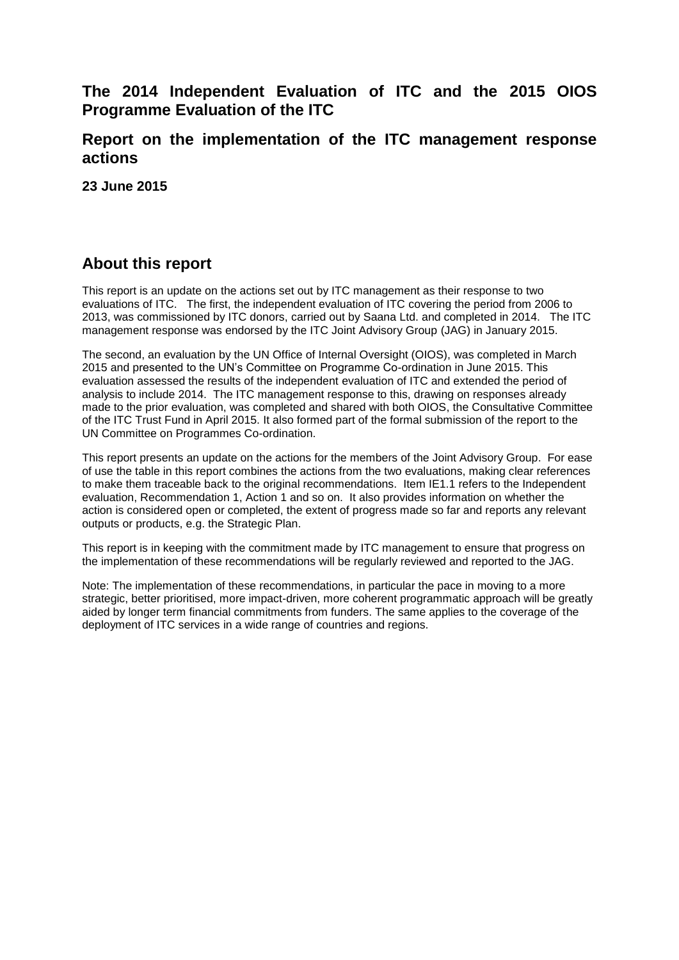# **The 2014 Independent Evaluation of ITC and the 2015 OIOS Programme Evaluation of the ITC**

## **Report on the implementation of the ITC management response actions**

**23 June 2015**

# **About this report**

This report is an update on the actions set out by ITC management as their response to two evaluations of ITC. The first, the independent evaluation of ITC covering the period from 2006 to 2013, was commissioned by ITC donors, carried out by Saana Ltd. and completed in 2014. The ITC management response was endorsed by the ITC Joint Advisory Group (JAG) in January 2015.

The second, an evaluation by the UN Office of Internal Oversight (OIOS), was completed in March 2015 and presented to the UN's Committee on Programme Co-ordination in June 2015. This evaluation assessed the results of the independent evaluation of ITC and extended the period of analysis to include 2014. The ITC management response to this, drawing on responses already made to the prior evaluation, was completed and shared with both OIOS, the Consultative Committee of the ITC Trust Fund in April 2015. It also formed part of the formal submission of the report to the UN Committee on Programmes Co-ordination.

This report presents an update on the actions for the members of the Joint Advisory Group. For ease of use the table in this report combines the actions from the two evaluations, making clear references to make them traceable back to the original recommendations. Item IE1.1 refers to the Independent evaluation, Recommendation 1, Action 1 and so on. It also provides information on whether the action is considered open or completed, the extent of progress made so far and reports any relevant outputs or products, e.g. the Strategic Plan.

This report is in keeping with the commitment made by ITC management to ensure that progress on the implementation of these recommendations will be regularly reviewed and reported to the JAG.

Note: The implementation of these recommendations, in particular the pace in moving to a more strategic, better prioritised, more impact-driven, more coherent programmatic approach will be greatly aided by longer term financial commitments from funders. The same applies to the coverage of the deployment of ITC services in a wide range of countries and regions.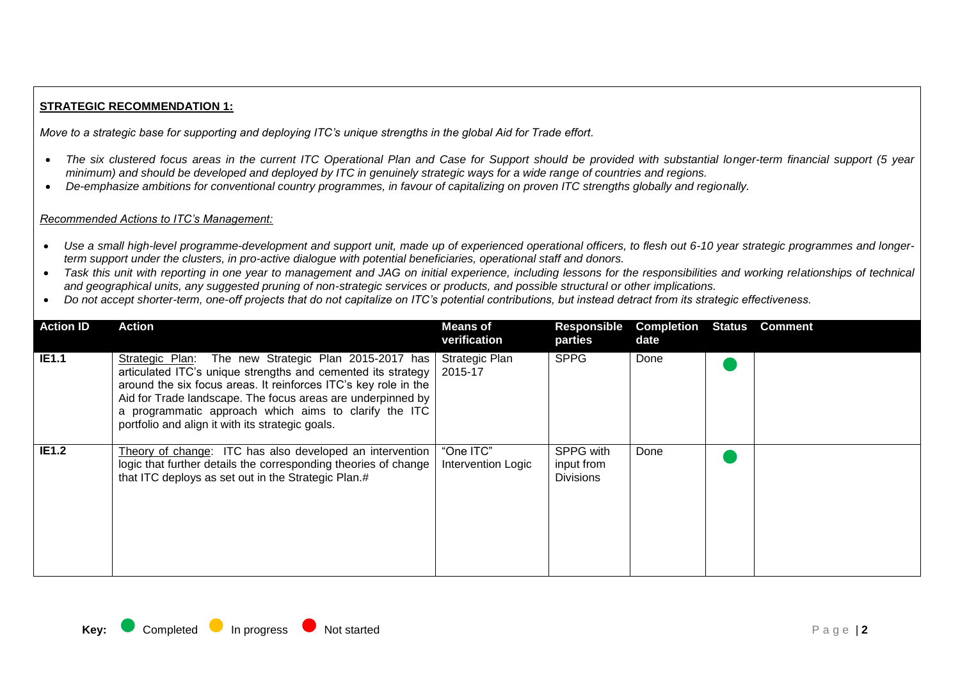### **STRATEGIC RECOMMENDATION 1:**

*Move to a strategic base for supporting and deploying ITC's unique strengths in the global Aid for Trade effort.*

- The six clustered focus areas in the current ITC Operational Plan and Case for Support should be provided with substantial longer-term financial support (5 year *minimum) and should be developed and deployed by ITC in genuinely strategic ways for a wide range of countries and regions.*
- *De-emphasize ambitions for conventional country programmes, in favour of capitalizing on proven ITC strengths globally and regionally.*

- *Use a small high-level programme-development and support unit, made up of experienced operational officers, to flesh out 6-10 year strategic programmes and longerterm support under the clusters, in pro-active dialogue with potential beneficiaries, operational staff and donors.*
- *Task this unit with reporting in one year to management and JAG on initial experience, including lessons for the responsibilities and working relationships of technical and geographical units, any suggested pruning of non-strategic services or products, and possible structural or other implications.*
- *Do not accept shorter-term, one-off projects that do not capitalize on ITC's potential contributions, but instead detract from its strategic effectiveness.*

| <b>Action ID</b> | Action                                                                                                                                                                                                                                                                                                                                                                | <b>Means of</b><br>verification  | <b>Responsible</b><br>parties               | <b>Completion</b><br>date | Status | <b>Comment</b> |
|------------------|-----------------------------------------------------------------------------------------------------------------------------------------------------------------------------------------------------------------------------------------------------------------------------------------------------------------------------------------------------------------------|----------------------------------|---------------------------------------------|---------------------------|--------|----------------|
| <b>IE1.1</b>     | Strategic Plan: The new Strategic Plan 2015-2017 has<br>articulated ITC's unique strengths and cemented its strategy  <br>around the six focus areas. It reinforces ITC's key role in the<br>Aid for Trade landscape. The focus areas are underpinned by<br>a programmatic approach which aims to clarify the ITC<br>portfolio and align it with its strategic goals. | <b>Strategic Plan</b><br>2015-17 | <b>SPPG</b>                                 | Done                      |        |                |
| <b>IE1.2</b>     | Theory of change: ITC has also developed an intervention<br>logic that further details the corresponding theories of change<br>that ITC deploys as set out in the Strategic Plan.#                                                                                                                                                                                    | "One ITC"<br>Intervention Logic  | SPPG with<br>input from<br><b>Divisions</b> | Done                      |        |                |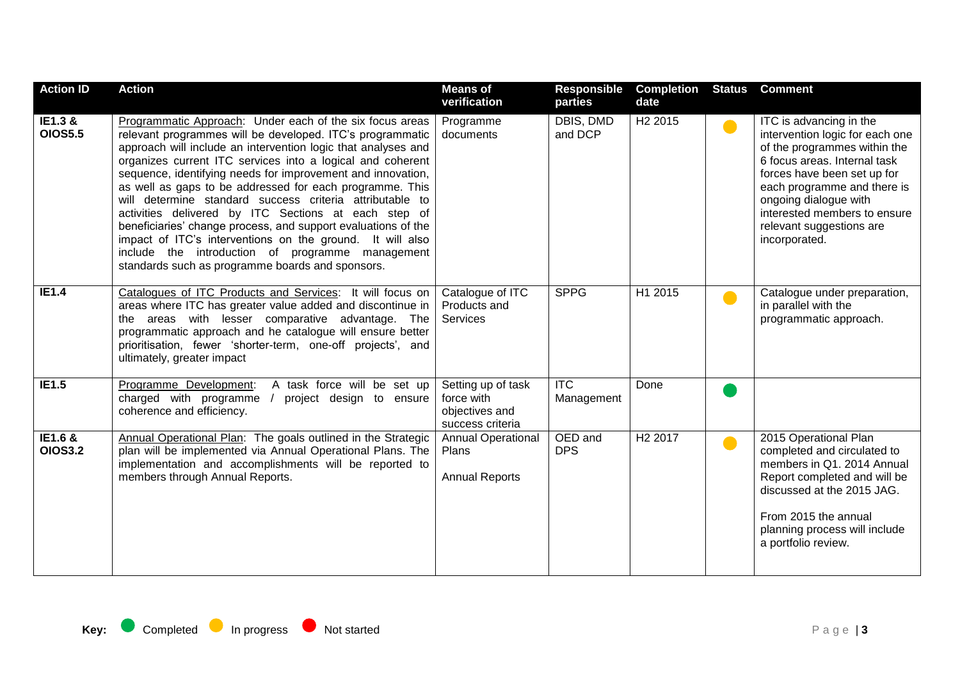| <b>Action ID</b>          | <b>Action</b>                                                                                                                                                                                                                                                                                                                                                                                                                                                                                                                                                                                                                                                                                                                             | <b>Means of</b><br>verification                                        | <b>Responsible</b><br>parties | <b>Completion</b><br>date | <b>Status</b> | <b>Comment</b>                                                                                                                                                                                                                                                                                 |
|---------------------------|-------------------------------------------------------------------------------------------------------------------------------------------------------------------------------------------------------------------------------------------------------------------------------------------------------------------------------------------------------------------------------------------------------------------------------------------------------------------------------------------------------------------------------------------------------------------------------------------------------------------------------------------------------------------------------------------------------------------------------------------|------------------------------------------------------------------------|-------------------------------|---------------------------|---------------|------------------------------------------------------------------------------------------------------------------------------------------------------------------------------------------------------------------------------------------------------------------------------------------------|
| IE1.3 &<br><b>OIOS5.5</b> | Programmatic Approach: Under each of the six focus areas<br>relevant programmes will be developed. ITC's programmatic<br>approach will include an intervention logic that analyses and<br>organizes current ITC services into a logical and coherent<br>sequence, identifying needs for improvement and innovation,<br>as well as gaps to be addressed for each programme. This<br>will determine standard success criteria attributable to<br>activities delivered by ITC Sections at each step of<br>beneficiaries' change process, and support evaluations of the<br>impact of ITC's interventions on the ground. It will also<br>include the introduction of programme management<br>standards such as programme boards and sponsors. | Programme<br>documents                                                 | DBIS, DMD<br>and DCP          | H <sub>2</sub> 2015       | $\bullet$     | ITC is advancing in the<br>intervention logic for each one<br>of the programmes within the<br>6 focus areas. Internal task<br>forces have been set up for<br>each programme and there is<br>ongoing dialogue with<br>interested members to ensure<br>relevant suggestions are<br>incorporated. |
| <b>IE1.4</b>              | Catalogues of ITC Products and Services: It will focus on<br>areas where ITC has greater value added and discontinue in<br>the areas with lesser comparative advantage. The<br>programmatic approach and he catalogue will ensure better<br>prioritisation, fewer 'shorter-term, one-off projects', and<br>ultimately, greater impact                                                                                                                                                                                                                                                                                                                                                                                                     | Catalogue of ITC<br>Products and<br>Services                           | <b>SPPG</b>                   | H1 2015                   | $\bullet$     | Catalogue under preparation,<br>in parallel with the<br>programmatic approach.                                                                                                                                                                                                                 |
| <b>IE1.5</b>              | A task force will be set up<br>Programme Development:<br>charged with programme<br>project design to ensure<br>coherence and efficiency.                                                                                                                                                                                                                                                                                                                                                                                                                                                                                                                                                                                                  | Setting up of task<br>force with<br>objectives and<br>success criteria | <b>ITC</b><br>Management      | Done                      |               |                                                                                                                                                                                                                                                                                                |
| IE1.6 &<br><b>OIOS3.2</b> | Annual Operational Plan: The goals outlined in the Strategic<br>plan will be implemented via Annual Operational Plans. The<br>implementation and accomplishments will be reported to<br>members through Annual Reports.                                                                                                                                                                                                                                                                                                                                                                                                                                                                                                                   | <b>Annual Operational</b><br>Plans<br><b>Annual Reports</b>            | OED and<br><b>DPS</b>         | H <sub>2</sub> 2017       | $\bullet$     | 2015 Operational Plan<br>completed and circulated to<br>members in Q1. 2014 Annual<br>Report completed and will be<br>discussed at the 2015 JAG.<br>From 2015 the annual<br>planning process will include<br>a portfolio review.                                                               |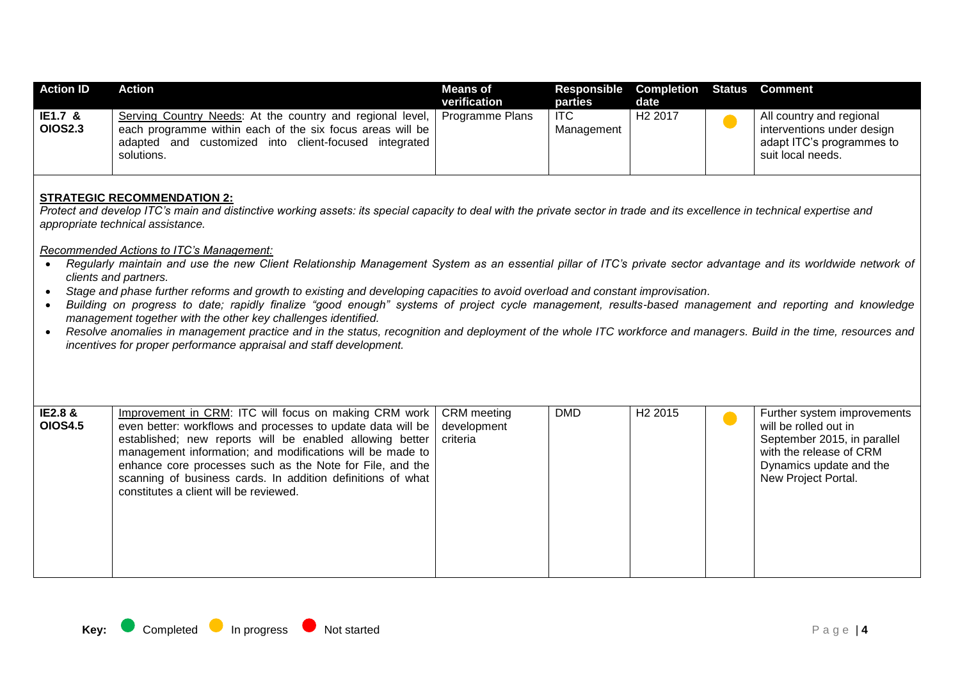| <b>Action ID</b>             | Action                                                                                                                                                                                           | <b>Means of</b><br>verification | Responsible Completion Status Comment<br>parties | date                |                                                                                                          |
|------------------------------|--------------------------------------------------------------------------------------------------------------------------------------------------------------------------------------------------|---------------------------------|--------------------------------------------------|---------------------|----------------------------------------------------------------------------------------------------------|
| $IE1.7 \&$<br><b>OIOS2.3</b> | Serving Country Needs: At the country and regional level,<br>each programme within each of the six focus areas will be<br>adapted and customized<br>into client-focused integrated<br>solutions. | Programme Plans                 | ITC<br>Management                                | H <sub>2</sub> 2017 | All country and regional<br>interventions under design<br>adapt ITC's programmes to<br>suit local needs. |

#### **STRATEGIC RECOMMENDATION 2:**

*Protect and develop ITC's main and distinctive working assets: its special capacity to deal with the private sector in trade and its excellence in technical expertise and appropriate technical assistance.*

- *Regularly maintain and use the new Client Relationship Management System as an essential pillar of ITC's private sector advantage and its worldwide network of clients and partners.*
- *Stage and phase further reforms and growth to existing and developing capacities to avoid overload and constant improvisation.*
- *Building on progress to date; rapidly finalize "good enough" systems of project cycle management, results-based management and reporting and knowledge management together with the other key challenges identified.*
- Resolve anomalies in management practice and in the status, recognition and deployment of the whole ITC workforce and managers. Build in the time, resources and *incentives for proper performance appraisal and staff development.*

| <b>IE2.8 &amp;</b><br><b>OIOS4.5</b> | Improvement in CRM: ITC will focus on making CRM work   CRM meeting<br>even better: workflows and processes to update data will be   development<br>established; new reports will be enabled allowing better   criteria<br>management information; and modifications will be made to<br>enhance core processes such as the Note for File, and the<br>scanning of business cards. In addition definitions of what<br>constitutes a client will be reviewed. |  | <b>DMD</b> | H <sub>2</sub> 2015 |  | Further system improvements<br>will be rolled out in<br>September 2015, in parallel<br>with the release of CRM<br>Dynamics update and the<br>New Project Portal. |
|--------------------------------------|------------------------------------------------------------------------------------------------------------------------------------------------------------------------------------------------------------------------------------------------------------------------------------------------------------------------------------------------------------------------------------------------------------------------------------------------------------|--|------------|---------------------|--|------------------------------------------------------------------------------------------------------------------------------------------------------------------|
|--------------------------------------|------------------------------------------------------------------------------------------------------------------------------------------------------------------------------------------------------------------------------------------------------------------------------------------------------------------------------------------------------------------------------------------------------------------------------------------------------------|--|------------|---------------------|--|------------------------------------------------------------------------------------------------------------------------------------------------------------------|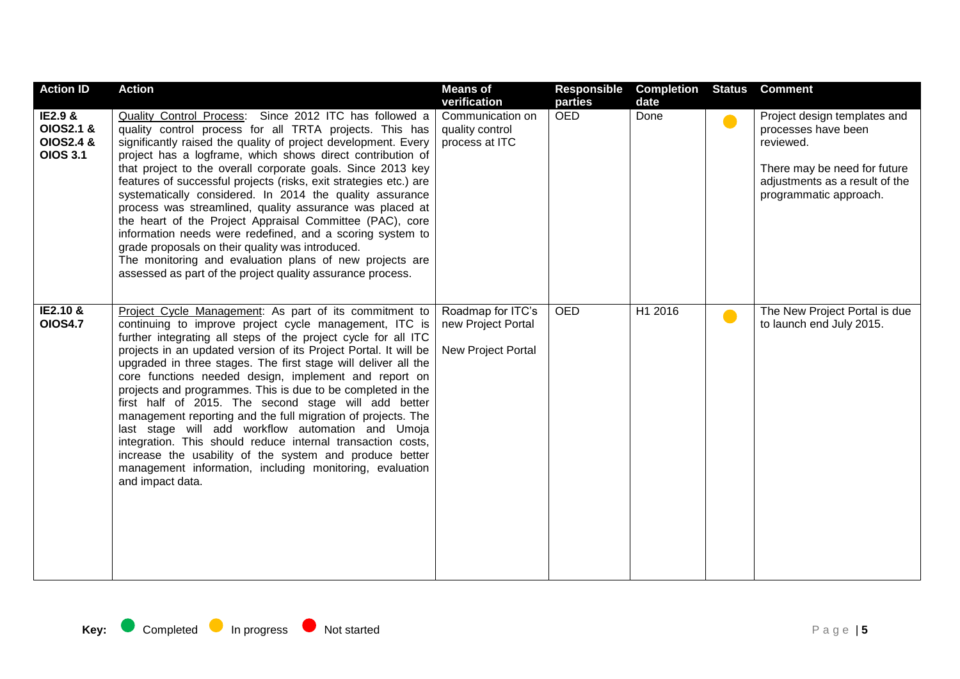| <b>Action ID</b>                                                | <b>Action</b>                                                                                                                                                                                                                                                                                                                                                                                                                                                                                                                                                                                                                                                                                                                                                                                                                           | <b>Means of</b><br>verification                               | <b>Responsible</b><br>parties | <b>Completion Status</b><br>date |           | <b>Comment</b>                                                                                                                                               |
|-----------------------------------------------------------------|-----------------------------------------------------------------------------------------------------------------------------------------------------------------------------------------------------------------------------------------------------------------------------------------------------------------------------------------------------------------------------------------------------------------------------------------------------------------------------------------------------------------------------------------------------------------------------------------------------------------------------------------------------------------------------------------------------------------------------------------------------------------------------------------------------------------------------------------|---------------------------------------------------------------|-------------------------------|----------------------------------|-----------|--------------------------------------------------------------------------------------------------------------------------------------------------------------|
| IE2.9 &<br><b>OIOS2.1 &amp;</b><br>OIOS2.4 &<br><b>OIOS 3.1</b> | Quality Control Process: Since 2012 ITC has followed a<br>quality control process for all TRTA projects. This has<br>significantly raised the quality of project development. Every<br>project has a logframe, which shows direct contribution of<br>that project to the overall corporate goals. Since 2013 key<br>features of successful projects (risks, exit strategies etc.) are<br>systematically considered. In 2014 the quality assurance<br>process was streamlined, quality assurance was placed at<br>the heart of the Project Appraisal Committee (PAC), core<br>information needs were redefined, and a scoring system to<br>grade proposals on their quality was introduced.<br>The monitoring and evaluation plans of new projects are<br>assessed as part of the project quality assurance process.                     | Communication on<br>quality control<br>process at ITC         | <b>OED</b>                    | Done                             |           | Project design templates and<br>processes have been<br>reviewed.<br>There may be need for future<br>adjustments as a result of the<br>programmatic approach. |
| IE2.10 &<br><b>OIOS4.7</b>                                      | Project Cycle Management: As part of its commitment to<br>continuing to improve project cycle management, ITC is<br>further integrating all steps of the project cycle for all ITC<br>projects in an updated version of its Project Portal. It will be<br>upgraded in three stages. The first stage will deliver all the<br>core functions needed design, implement and report on<br>projects and programmes. This is due to be completed in the<br>first half of 2015. The second stage will add better<br>management reporting and the full migration of projects. The<br>last stage will add workflow automation and Umoja<br>integration. This should reduce internal transaction costs,<br>increase the usability of the system and produce better<br>management information, including monitoring, evaluation<br>and impact data. | Roadmap for ITC's<br>new Project Portal<br>New Project Portal | <b>OED</b>                    | H1 2016                          | $\bullet$ | The New Project Portal is due<br>to launch end July 2015.                                                                                                    |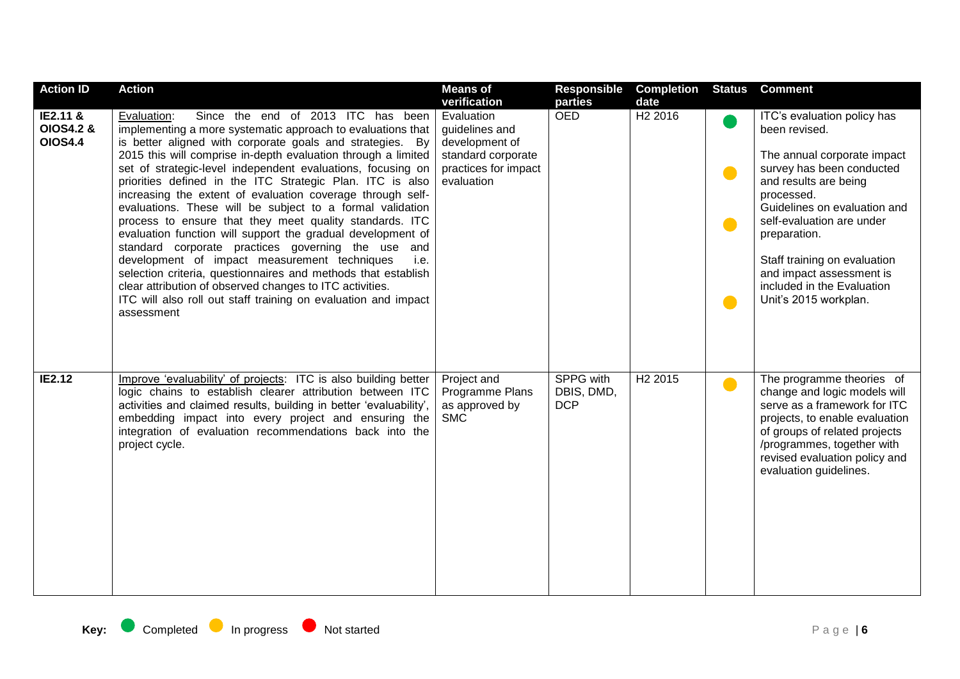| <b>Action ID</b>                                   | <b>Action</b>                                                                                                                                                                                                                                                                                                                                                                                                                                                                                                                                                                                                                                                                                                                                                                                                                                                                                                                                              | <b>Means of</b>                                                                                                            | Responsible                           | <b>Completion</b>           | <b>Status</b>                       | <b>Comment</b>                                                                                                                                                                                                                                                                                                                                  |
|----------------------------------------------------|------------------------------------------------------------------------------------------------------------------------------------------------------------------------------------------------------------------------------------------------------------------------------------------------------------------------------------------------------------------------------------------------------------------------------------------------------------------------------------------------------------------------------------------------------------------------------------------------------------------------------------------------------------------------------------------------------------------------------------------------------------------------------------------------------------------------------------------------------------------------------------------------------------------------------------------------------------|----------------------------------------------------------------------------------------------------------------------------|---------------------------------------|-----------------------------|-------------------------------------|-------------------------------------------------------------------------------------------------------------------------------------------------------------------------------------------------------------------------------------------------------------------------------------------------------------------------------------------------|
| IE2.11 &<br><b>OIOS4.2 &amp;</b><br><b>OIOS4.4</b> | Since the end of 2013 ITC has been<br>Evaluation:<br>implementing a more systematic approach to evaluations that<br>is better aligned with corporate goals and strategies. By<br>2015 this will comprise in-depth evaluation through a limited<br>set of strategic-level independent evaluations, focusing on<br>priorities defined in the ITC Strategic Plan. ITC is also<br>increasing the extent of evaluation coverage through self-<br>evaluations. These will be subject to a formal validation<br>process to ensure that they meet quality standards. ITC<br>evaluation function will support the gradual development of<br>standard corporate practices governing the use and<br>development of impact measurement techniques<br>i.e.<br>selection criteria, questionnaires and methods that establish<br>clear attribution of observed changes to ITC activities.<br>ITC will also roll out staff training on evaluation and impact<br>assessment | verification<br>Evaluation<br>guidelines and<br>development of<br>standard corporate<br>practices for impact<br>evaluation | parties<br><b>OED</b>                 | date<br>H <sub>2</sub> 2016 | $\bullet$<br>$\bullet$<br>$\bullet$ | ITC's evaluation policy has<br>been revised.<br>The annual corporate impact<br>survey has been conducted<br>and results are being<br>processed.<br>Guidelines on evaluation and<br>self-evaluation are under<br>preparation.<br>Staff training on evaluation<br>and impact assessment is<br>included in the Evaluation<br>Unit's 2015 workplan. |
| <b>IE2.12</b>                                      | Improve 'evaluability' of projects: ITC is also building better<br>logic chains to establish clearer attribution between ITC<br>activities and claimed results, building in better 'evaluability',<br>embedding impact into every project and ensuring the<br>integration of evaluation recommendations back into the<br>project cycle.                                                                                                                                                                                                                                                                                                                                                                                                                                                                                                                                                                                                                    | Project and<br>Programme Plans<br>as approved by<br><b>SMC</b>                                                             | SPPG with<br>DBIS, DMD,<br><b>DCP</b> | H <sub>2</sub> 2015         | $\bullet$                           | The programme theories of<br>change and logic models will<br>serve as a framework for ITC<br>projects, to enable evaluation<br>of groups of related projects<br>/programmes, together with<br>revised evaluation policy and<br>evaluation guidelines.                                                                                           |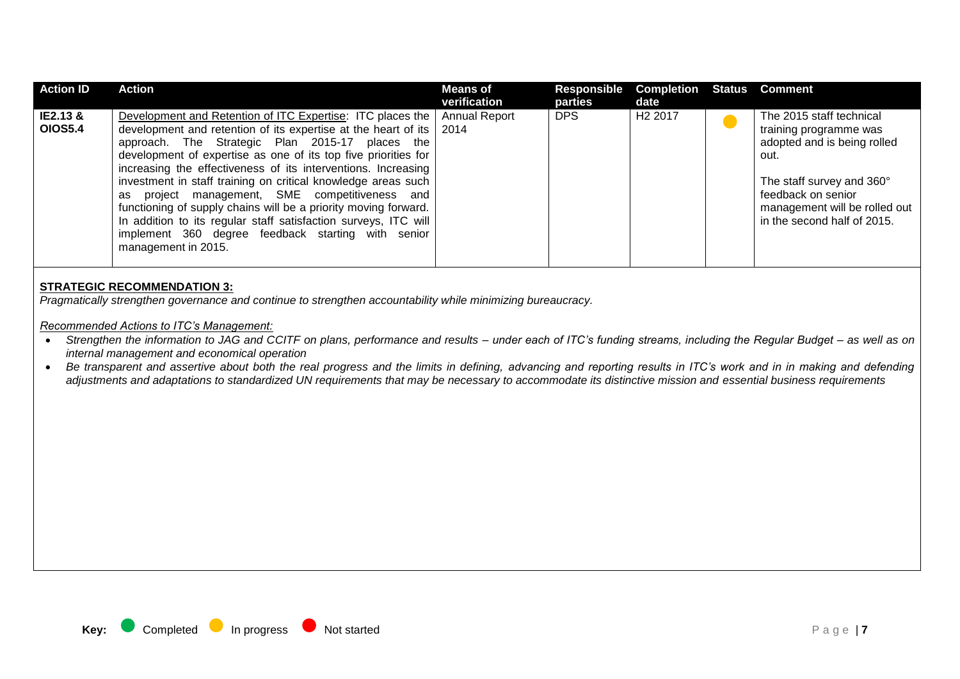| <b>Action ID</b>           | Action                                                                                                                                                                                                                                                                                                                                                                                                                                                                                                                                                                                                                                                               | <b>Means of</b><br>verification | Responsible<br>parties | <b>Completion Status Comment</b><br>date |                                                                                                                                                                                                              |
|----------------------------|----------------------------------------------------------------------------------------------------------------------------------------------------------------------------------------------------------------------------------------------------------------------------------------------------------------------------------------------------------------------------------------------------------------------------------------------------------------------------------------------------------------------------------------------------------------------------------------------------------------------------------------------------------------------|---------------------------------|------------------------|------------------------------------------|--------------------------------------------------------------------------------------------------------------------------------------------------------------------------------------------------------------|
| IE2.13 &<br><b>OIOS5.4</b> | Development and Retention of ITC Expertise: ITC places the<br>development and retention of its expertise at the heart of its   2014<br>approach. The Strategic Plan 2015-17 places the<br>development of expertise as one of its top five priorities for  <br>increasing the effectiveness of its interventions. Increasing<br>investment in staff training on critical knowledge areas such<br>project management, SME competitiveness and<br>as<br>functioning of supply chains will be a priority moving forward.<br>In addition to its regular staff satisfaction surveys, ITC will<br>implement 360 degree feedback starting with senior<br>management in 2015. | <b>Annual Report</b>            | <b>DPS</b>             | H <sub>2</sub> 2017                      | The 2015 staff technical<br>training programme was<br>adopted and is being rolled<br>out.<br>The staff survey and 360°<br>feedback on senior<br>management will be rolled out<br>in the second half of 2015. |

#### **STRATEGIC RECOMMENDATION 3:**

*Pragmatically strengthen governance and continue to strengthen accountability while minimizing bureaucracy.*

- *Strengthen the information to JAG and CCITF on plans, performance and results – under each of ITC's funding streams, including the Regular Budget – as well as on internal management and economical operation*
- Be transparent and assertive about both the real progress and the limits in defining, advancing and reporting results in ITC's work and in in making and defending *adjustments and adaptations to standardized UN requirements that may be necessary to accommodate its distinctive mission and essential business requirements*

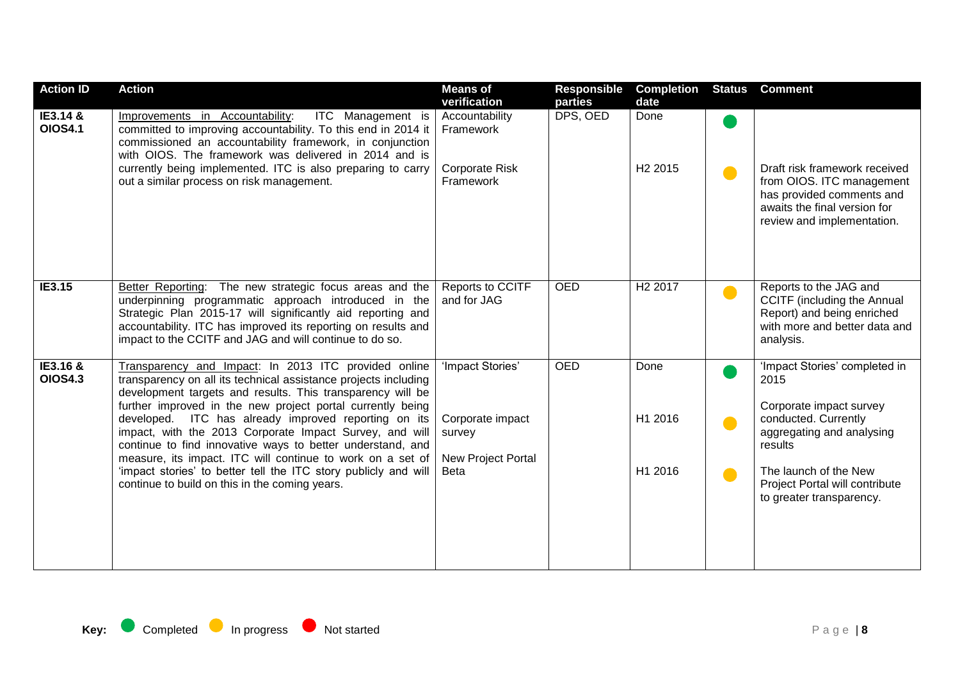| <b>Action ID</b>           | <b>Action</b>                                                                                                                                                                                                                                                                                                                                                                                                                                                                                                                                                                                                           | <b>Means of</b><br>verification                                                     | <b>Responsible</b><br>parties | <b>Completion</b><br>date   | <b>Status</b>               | <b>Comment</b>                                                                                                                                                                                                          |
|----------------------------|-------------------------------------------------------------------------------------------------------------------------------------------------------------------------------------------------------------------------------------------------------------------------------------------------------------------------------------------------------------------------------------------------------------------------------------------------------------------------------------------------------------------------------------------------------------------------------------------------------------------------|-------------------------------------------------------------------------------------|-------------------------------|-----------------------------|-----------------------------|-------------------------------------------------------------------------------------------------------------------------------------------------------------------------------------------------------------------------|
| IE3.14 &<br><b>OIOS4.1</b> | ITC Management is<br>Improvements in Accountability:<br>committed to improving accountability. To this end in 2014 it<br>commissioned an accountability framework, in conjunction<br>with OIOS. The framework was delivered in 2014 and is<br>currently being implemented. ITC is also preparing to carry<br>out a similar process on risk management.                                                                                                                                                                                                                                                                  | Accountability<br>Framework<br>Corporate Risk<br>Framework                          | DPS, OED                      | Done<br>H <sub>2</sub> 2015 | $\bullet$                   | Draft risk framework received<br>from OIOS. ITC management<br>has provided comments and<br>awaits the final version for<br>review and implementation.                                                                   |
| IE3.15                     | Better Reporting: The new strategic focus areas and the<br>underpinning programmatic approach introduced in the<br>Strategic Plan 2015-17 will significantly aid reporting and<br>accountability. ITC has improved its reporting on results and<br>impact to the CCITF and JAG and will continue to do so.                                                                                                                                                                                                                                                                                                              | Reports to CCITF<br>and for JAG                                                     | <b>OED</b>                    | H <sub>2</sub> 2017         | $\bullet$                   | Reports to the JAG and<br><b>CCITF</b> (including the Annual<br>Report) and being enriched<br>with more and better data and<br>analysis.                                                                                |
| IE3.16 &<br><b>OIOS4.3</b> | Transparency and Impact: In 2013 ITC provided online<br>transparency on all its technical assistance projects including<br>development targets and results. This transparency will be<br>further improved in the new project portal currently being<br>developed. ITC has already improved reporting on its<br>impact, with the 2013 Corporate Impact Survey, and will<br>continue to find innovative ways to better understand, and<br>measure, its impact. ITC will continue to work on a set of<br>'impact stories' to better tell the ITC story publicly and will<br>continue to build on this in the coming years. | 'Impact Stories'<br>Corporate impact<br>survey<br>New Project Portal<br><b>Beta</b> | <b>OED</b>                    | Done<br>H1 2016<br>H1 2016  | $\blacksquare$<br>$\bullet$ | 'Impact Stories' completed in<br>2015<br>Corporate impact survey<br>conducted. Currently<br>aggregating and analysing<br>results<br>The launch of the New<br>Project Portal will contribute<br>to greater transparency. |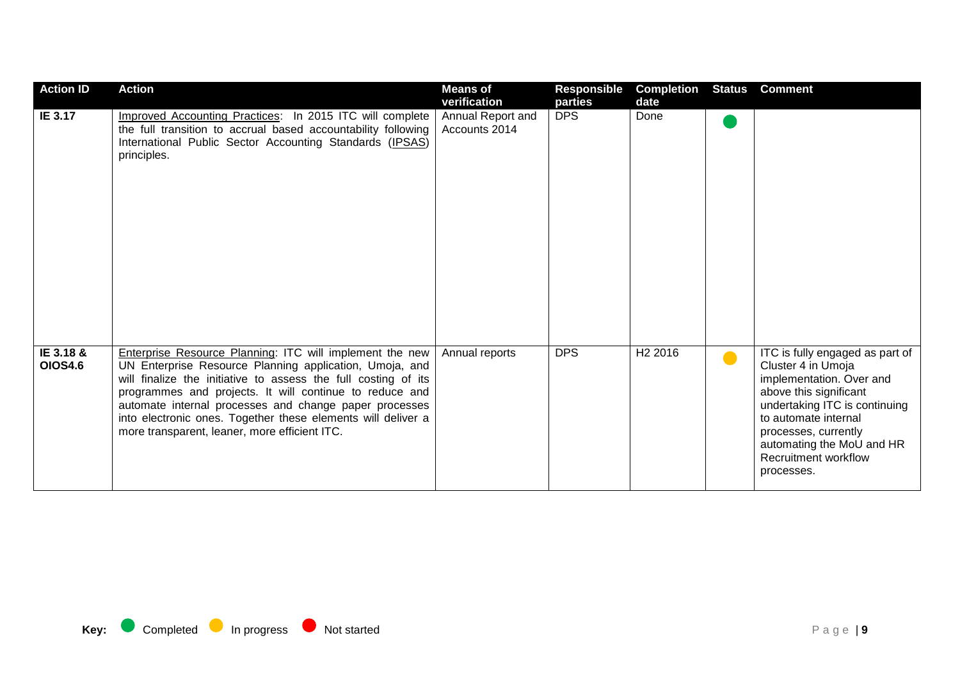| <b>Action ID</b>            | <b>Action</b>                                                                                                                                                                                                                                                                                                                                                                                                               | <b>Means of</b><br>verification    | <b>Responsible</b><br>parties | <b>Completion</b><br>date | <b>Status</b> | <b>Comment</b>                                                                                                                                                                                                                                                  |
|-----------------------------|-----------------------------------------------------------------------------------------------------------------------------------------------------------------------------------------------------------------------------------------------------------------------------------------------------------------------------------------------------------------------------------------------------------------------------|------------------------------------|-------------------------------|---------------------------|---------------|-----------------------------------------------------------------------------------------------------------------------------------------------------------------------------------------------------------------------------------------------------------------|
| IE 3.17                     | Improved Accounting Practices: In 2015 ITC will complete<br>the full transition to accrual based accountability following<br>International Public Sector Accounting Standards (IPSAS)<br>principles.                                                                                                                                                                                                                        | Annual Report and<br>Accounts 2014 | <b>DPS</b>                    | Done                      |               |                                                                                                                                                                                                                                                                 |
| IE 3.18 &<br><b>OIOS4.6</b> | Enterprise Resource Planning: ITC will implement the new<br>UN Enterprise Resource Planning application, Umoja, and<br>will finalize the initiative to assess the full costing of its<br>programmes and projects. It will continue to reduce and<br>automate internal processes and change paper processes<br>into electronic ones. Together these elements will deliver a<br>more transparent, leaner, more efficient ITC. | Annual reports                     | <b>DPS</b>                    | H <sub>2</sub> 2016       | $\bullet$     | ITC is fully engaged as part of<br>Cluster 4 in Umoja<br>implementation. Over and<br>above this significant<br>undertaking ITC is continuing<br>to automate internal<br>processes, currently<br>automating the MoU and HR<br>Recruitment workflow<br>processes. |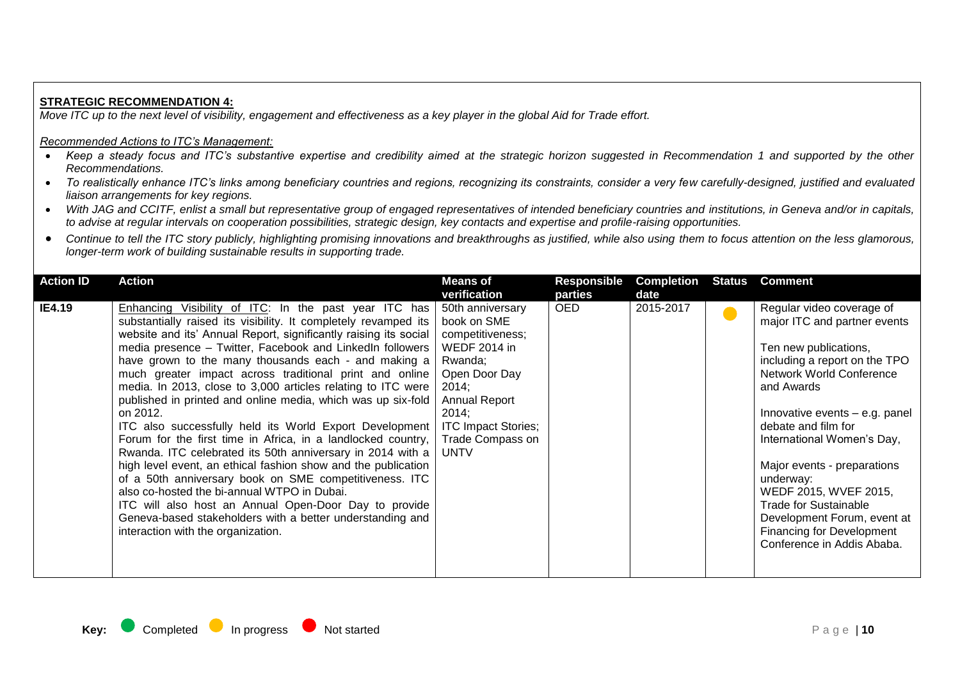### **STRATEGIC RECOMMENDATION 4:**

*Move ITC up to the next level of visibility, engagement and effectiveness as a key player in the global Aid for Trade effort.*

- Keep a steady focus and ITC's substantive expertise and credibility aimed at the strategic horizon suggested in Recommendation 1 and supported by the other *Recommendations.*
- To realistically enhance ITC's links among beneficiary countries and regions, recognizing its constraints, consider a very few carefully-designed, justified and evaluated *liaison arrangements for key regions.*
- *With JAG and CCITF, enlist a small but representative group of engaged representatives of intended beneficiary countries and institutions, in Geneva and/or in capitals, to advise at regular intervals on cooperation possibilities, strategic design, key contacts and expertise and profile-raising opportunities.*
- Continue to tell the ITC story publicly, highlighting promising innovations and breakthroughs as justified, while also using them to focus attention on the less glamorous, *longer-term work of building sustainable results in supporting trade.*

| <b>Action ID</b> | <b>Action</b>                                                                                                                                                                                                                                                                                                                                                                                                                                                                                                                                                                                                                                                                                                                                                                                                                                                                                                                                                                                                                                           | <b>Means of</b>                                                                                                                                                                                                   | Responsible | <b>Completion</b> | Status | <b>Comment</b>                                                                                                                                                                                                                                                                                                                                                                                                                                                    |
|------------------|---------------------------------------------------------------------------------------------------------------------------------------------------------------------------------------------------------------------------------------------------------------------------------------------------------------------------------------------------------------------------------------------------------------------------------------------------------------------------------------------------------------------------------------------------------------------------------------------------------------------------------------------------------------------------------------------------------------------------------------------------------------------------------------------------------------------------------------------------------------------------------------------------------------------------------------------------------------------------------------------------------------------------------------------------------|-------------------------------------------------------------------------------------------------------------------------------------------------------------------------------------------------------------------|-------------|-------------------|--------|-------------------------------------------------------------------------------------------------------------------------------------------------------------------------------------------------------------------------------------------------------------------------------------------------------------------------------------------------------------------------------------------------------------------------------------------------------------------|
|                  |                                                                                                                                                                                                                                                                                                                                                                                                                                                                                                                                                                                                                                                                                                                                                                                                                                                                                                                                                                                                                                                         | verification                                                                                                                                                                                                      | parties     | date              |        |                                                                                                                                                                                                                                                                                                                                                                                                                                                                   |
| IE4.19           | Enhancing Visibility of ITC: In the past year ITC has<br>substantially raised its visibility. It completely revamped its<br>website and its' Annual Report, significantly raising its social<br>media presence - Twitter, Facebook and LinkedIn followers<br>have grown to the many thousands each - and making a<br>much greater impact across traditional print and online<br>media. In 2013, close to 3,000 articles relating to ITC were<br>published in printed and online media, which was up six-fold<br>on 2012.<br>ITC also successfully held its World Export Development<br>Forum for the first time in Africa, in a landlocked country,<br>Rwanda. ITC celebrated its 50th anniversary in 2014 with a<br>high level event, an ethical fashion show and the publication<br>of a 50th anniversary book on SME competitiveness. ITC<br>also co-hosted the bi-annual WTPO in Dubai.<br>ITC will also host an Annual Open-Door Day to provide<br>Geneva-based stakeholders with a better understanding and<br>interaction with the organization. | 50th anniversary<br>book on SME<br>competitiveness;<br><b>WEDF 2014 in</b><br>Rwanda;<br>Open Door Day<br>2014;<br><b>Annual Report</b><br>2014;<br><b>ITC Impact Stories;</b><br>Trade Compass on<br><b>UNTV</b> | <b>OED</b>  | 2015-2017         |        | Regular video coverage of<br>major ITC and partner events<br>Ten new publications,<br>including a report on the TPO<br><b>Network World Conference</b><br>and Awards<br>Innovative events - e.g. panel<br>debate and film for<br>International Women's Day,<br>Major events - preparations<br>underway:<br>WEDF 2015, WVEF 2015,<br><b>Trade for Sustainable</b><br>Development Forum, event at<br><b>Financing for Development</b><br>Conference in Addis Ababa. |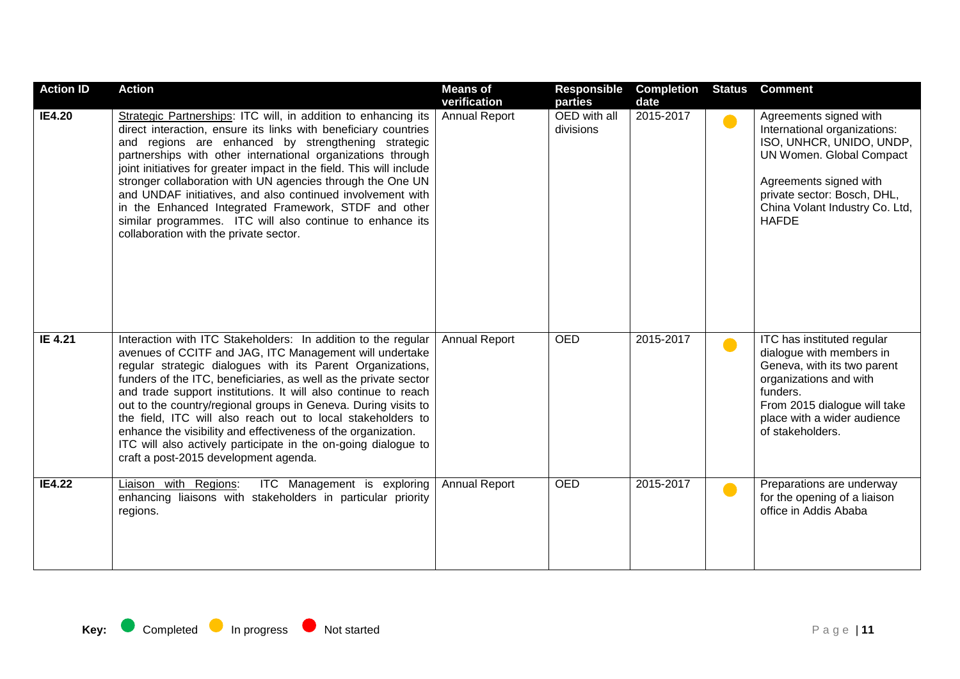| <b>Action ID</b> | <b>Action</b>                                                                                                                                                                                                                                                                                                                                                                                                                                                                                                                                                                                                                             | <b>Means of</b><br>verification | <b>Responsible</b><br>parties | <b>Completion</b><br>date | <b>Status</b> | <b>Comment</b>                                                                                                                                                                                                            |
|------------------|-------------------------------------------------------------------------------------------------------------------------------------------------------------------------------------------------------------------------------------------------------------------------------------------------------------------------------------------------------------------------------------------------------------------------------------------------------------------------------------------------------------------------------------------------------------------------------------------------------------------------------------------|---------------------------------|-------------------------------|---------------------------|---------------|---------------------------------------------------------------------------------------------------------------------------------------------------------------------------------------------------------------------------|
| <b>IE4.20</b>    | Strategic Partnerships: ITC will, in addition to enhancing its<br>direct interaction, ensure its links with beneficiary countries<br>and regions are enhanced by strengthening strategic<br>partnerships with other international organizations through<br>joint initiatives for greater impact in the field. This will include<br>stronger collaboration with UN agencies through the One UN<br>and UNDAF initiatives, and also continued involvement with<br>in the Enhanced Integrated Framework, STDF and other<br>similar programmes. ITC will also continue to enhance its<br>collaboration with the private sector.                | <b>Annual Report</b>            | OED with all<br>divisions     | 2015-2017                 | $\bullet$     | Agreements signed with<br>International organizations:<br>ISO, UNHCR, UNIDO, UNDP,<br>UN Women. Global Compact<br>Agreements signed with<br>private sector: Bosch, DHL,<br>China Volant Industry Co. Ltd,<br><b>HAFDE</b> |
| IE 4.21          | Interaction with ITC Stakeholders: In addition to the regular<br>avenues of CCITF and JAG, ITC Management will undertake<br>regular strategic dialogues with its Parent Organizations,<br>funders of the ITC, beneficiaries, as well as the private sector<br>and trade support institutions. It will also continue to reach<br>out to the country/regional groups in Geneva. During visits to<br>the field, ITC will also reach out to local stakeholders to<br>enhance the visibility and effectiveness of the organization.<br>ITC will also actively participate in the on-going dialogue to<br>craft a post-2015 development agenda. | <b>Annual Report</b>            | <b>OED</b>                    | 2015-2017                 | $\bullet$     | ITC has instituted regular<br>dialogue with members in<br>Geneva, with its two parent<br>organizations and with<br>funders.<br>From 2015 dialogue will take<br>place with a wider audience<br>of stakeholders.            |
| <b>IE4.22</b>    | ITC Management is exploring<br>Liaison with Regions:<br>enhancing liaisons with stakeholders in particular priority<br>regions.                                                                                                                                                                                                                                                                                                                                                                                                                                                                                                           | <b>Annual Report</b>            | <b>OED</b>                    | 2015-2017                 | $\bullet$     | Preparations are underway<br>for the opening of a liaison<br>office in Addis Ababa                                                                                                                                        |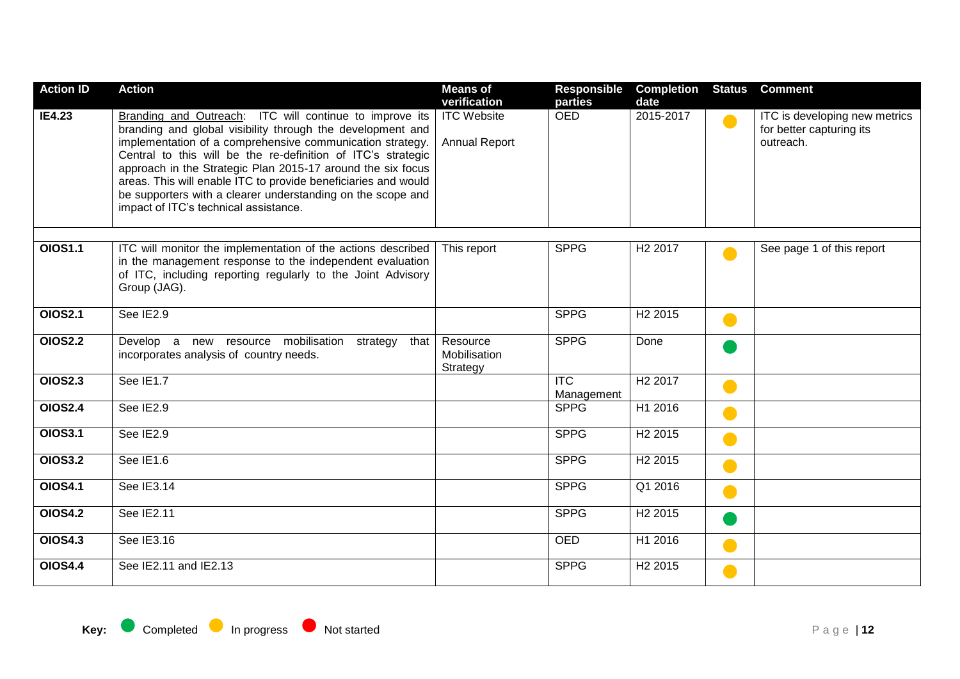| <b>Action ID</b> | <b>Action</b>                                                                                                                                                                                                                                                                                                                                                                                                                                                                               | <b>Means of</b><br>verification            | Responsible<br>parties                | <b>Completion</b><br>date | <b>Status</b> | <b>Comment</b>                                                         |
|------------------|---------------------------------------------------------------------------------------------------------------------------------------------------------------------------------------------------------------------------------------------------------------------------------------------------------------------------------------------------------------------------------------------------------------------------------------------------------------------------------------------|--------------------------------------------|---------------------------------------|---------------------------|---------------|------------------------------------------------------------------------|
| <b>IE4.23</b>    | Branding and Outreach: ITC will continue to improve its<br>branding and global visibility through the development and<br>implementation of a comprehensive communication strategy.<br>Central to this will be the re-definition of ITC's strategic<br>approach in the Strategic Plan 2015-17 around the six focus<br>areas. This will enable ITC to provide beneficiaries and would<br>be supporters with a clearer understanding on the scope and<br>impact of ITC's technical assistance. | <b>ITC Website</b><br><b>Annual Report</b> | <b>OED</b>                            | 2015-2017                 | $\bullet$     | ITC is developing new metrics<br>for better capturing its<br>outreach. |
| <b>OIOS1.1</b>   | ITC will monitor the implementation of the actions described<br>in the management response to the independent evaluation<br>of ITC, including reporting regularly to the Joint Advisory<br>Group (JAG).                                                                                                                                                                                                                                                                                     | This report                                | <b>SPPG</b>                           | H <sub>2</sub> 2017       |               | See page 1 of this report                                              |
| <b>OIOS2.1</b>   | See IE2.9                                                                                                                                                                                                                                                                                                                                                                                                                                                                                   |                                            | <b>SPPG</b>                           | H <sub>2</sub> 2015       | C.            |                                                                        |
| <b>OIOS2.2</b>   | Develop a new resource mobilisation strategy<br>that<br>incorporates analysis of country needs.                                                                                                                                                                                                                                                                                                                                                                                             | Resource<br>Mobilisation<br>Strategy       | <b>SPPG</b>                           | Done                      |               |                                                                        |
| <b>OIOS2.3</b>   | See IE1.7                                                                                                                                                                                                                                                                                                                                                                                                                                                                                   |                                            | $\overline{\text{ITC}}$<br>Management | H <sub>2</sub> 2017       |               |                                                                        |
| <b>OIOS2.4</b>   | See IE2.9                                                                                                                                                                                                                                                                                                                                                                                                                                                                                   |                                            | <b>SPPG</b>                           | H1 2016                   |               |                                                                        |
| <b>OIOS3.1</b>   | See IE2.9                                                                                                                                                                                                                                                                                                                                                                                                                                                                                   |                                            | <b>SPPG</b>                           | H <sub>2</sub> 2015       |               |                                                                        |
| <b>OIOS3.2</b>   | See IE1.6                                                                                                                                                                                                                                                                                                                                                                                                                                                                                   |                                            | <b>SPPG</b>                           | H <sub>2</sub> 2015       | e e           |                                                                        |
| <b>OIOS4.1</b>   | See IE3.14                                                                                                                                                                                                                                                                                                                                                                                                                                                                                  |                                            | <b>SPPG</b>                           | Q1 2016                   | e i           |                                                                        |
| <b>OIOS4.2</b>   | See IE2.11                                                                                                                                                                                                                                                                                                                                                                                                                                                                                  |                                            | <b>SPPG</b>                           | H <sub>2</sub> 2015       |               |                                                                        |
| <b>OIOS4.3</b>   | See IE3.16                                                                                                                                                                                                                                                                                                                                                                                                                                                                                  |                                            | <b>OED</b>                            | H1 2016                   |               |                                                                        |
| <b>OIOS4.4</b>   | See IE2.11 and IE2.13                                                                                                                                                                                                                                                                                                                                                                                                                                                                       |                                            | <b>SPPG</b>                           | H <sub>2</sub> 2015       | e e           |                                                                        |